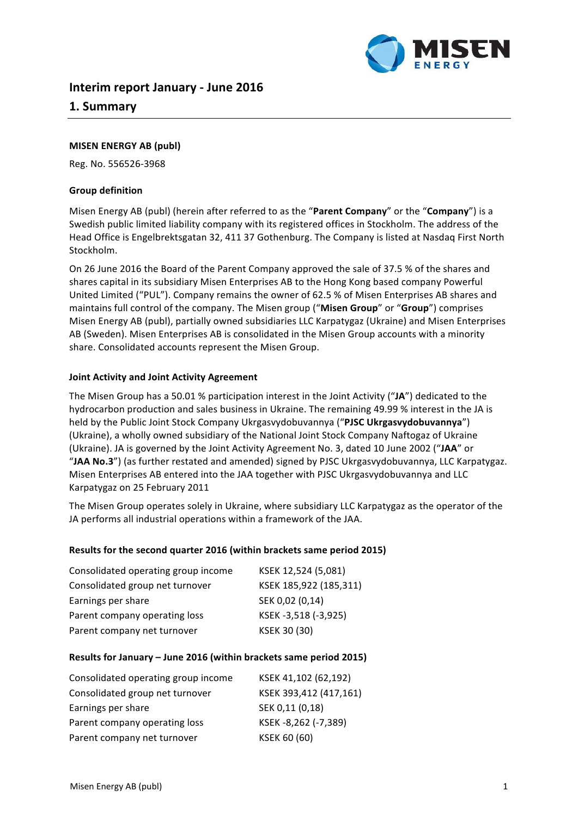

# **Interim report January - June 2016**

# **1. Summary**

## **MISEN ENERGY AB (publ)**

Reg. No. 556526-3968

#### **Group definition**

Misen Energy AB (publ) (herein after referred to as the "Parent Company" or the "Company") is a Swedish public limited liability company with its registered offices in Stockholm. The address of the Head Office is Engelbrektsgatan 32, 411 37 Gothenburg. The Company is listed at Nasdaq First North Stockholm. 

On 26 June 2016 the Board of the Parent Company approved the sale of 37.5 % of the shares and shares capital in its subsidiary Misen Enterprises AB to the Hong Kong based company Powerful United Limited ("PUL"). Company remains the owner of 62.5 % of Misen Enterprises AB shares and maintains full control of the company. The Misen group ("Misen Group" or "Group") comprises Misen Energy AB (publ), partially owned subsidiaries LLC Karpatygaz (Ukraine) and Misen Enterprises AB (Sweden). Misen Enterprises AB is consolidated in the Misen Group accounts with a minority share. Consolidated accounts represent the Misen Group.

## **Joint Activity and Joint Activity Agreement**

The Misen Group has a 50.01 % participation interest in the Joint Activity ("JA") dedicated to the hydrocarbon production and sales business in Ukraine. The remaining 49.99 % interest in the JA is held by the Public Joint Stock Company Ukrgasvydobuvannya ("PJSC Ukrgasvydobuvannya") (Ukraine), a wholly owned subsidiary of the National Joint Stock Company Naftogaz of Ukraine (Ukraine). JA is governed by the Joint Activity Agreement No. 3, dated 10 June 2002 ("JAA" or "JAA No.3") (as further restated and amended) signed by PJSC Ukrgasvydobuvannya, LLC Karpatygaz. Misen Enterprises AB entered into the JAA together with PJSC Ukrgasvydobuvannya and LLC Karpatygaz on 25 February 2011

The Misen Group operates solely in Ukraine, where subsidiary LLC Karpatygaz as the operator of the JA performs all industrial operations within a framework of the JAA.

#### Results for the second quarter 2016 (within brackets same period 2015)

| Consolidated operating group income | KSEK 12,524 (5,081)    |
|-------------------------------------|------------------------|
| Consolidated group net turnover     | KSEK 185,922 (185,311) |
| Earnings per share                  | SEK 0,02 (0,14)        |
| Parent company operating loss       | KSEK-3,518 (-3,925)    |
| Parent company net turnover         | KSEK 30 (30)           |

#### **Results for January – June 2016 (within brackets same period 2015)**

| Consolidated operating group income | KSEK 41,102 (62,192)   |
|-------------------------------------|------------------------|
| Consolidated group net turnover     | KSEK 393,412 (417,161) |
| Earnings per share                  | SEK 0,11 (0,18)        |
| Parent company operating loss       | KSEK-8,262 (-7,389)    |
| Parent company net turnover         | KSEK 60 (60)           |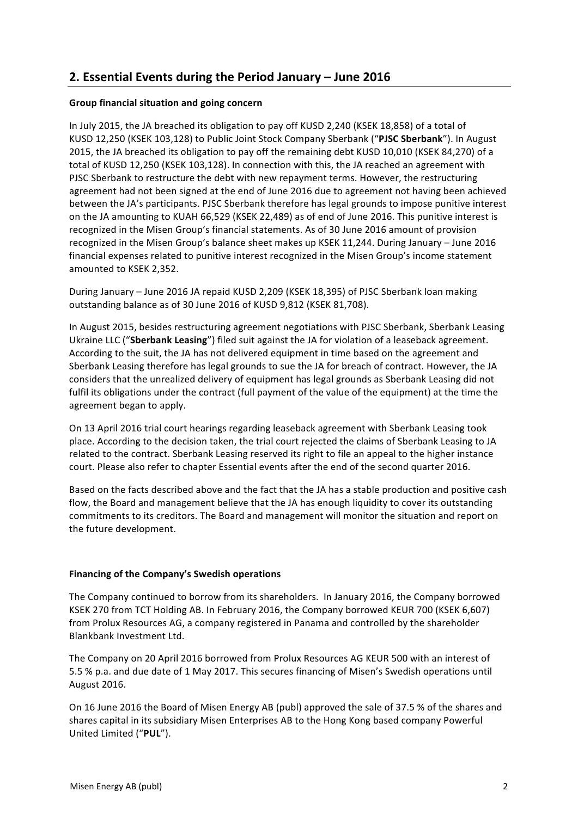# **2. Essential Events during the Period January – June 2016**

# **Group financial situation and going concern**

In July 2015, the JA breached its obligation to pay off KUSD 2,240 (KSEK 18,858) of a total of KUSD 12,250 (KSEK 103,128) to Public Joint Stock Company Sberbank ("PJSC Sberbank"). In August 2015, the JA breached its obligation to pay off the remaining debt KUSD 10,010 (KSEK 84,270) of a total of KUSD 12,250 (KSEK 103,128). In connection with this, the JA reached an agreement with PJSC Sberbank to restructure the debt with new repayment terms. However, the restructuring agreement had not been signed at the end of June 2016 due to agreement not having been achieved between the JA's participants. PJSC Sberbank therefore has legal grounds to impose punitive interest on the JA amounting to KUAH 66,529 (KSEK 22,489) as of end of June 2016. This punitive interest is recognized in the Misen Group's financial statements. As of 30 June 2016 amount of provision recognized in the Misen Group's balance sheet makes up KSEK 11,244. During January - June 2016 financial expenses related to punitive interest recognized in the Misen Group's income statement amounted to KSEK 2,352.

During January – June 2016 JA repaid KUSD 2,209 (KSEK 18,395) of PJSC Sberbank loan making outstanding balance as of 30 June 2016 of KUSD 9,812 (KSEK 81,708).

In August 2015, besides restructuring agreement negotiations with PJSC Sberbank, Sberbank Leasing Ukraine LLC ("Sberbank Leasing") filed suit against the JA for violation of a leaseback agreement. According to the suit, the JA has not delivered equipment in time based on the agreement and Sberbank Leasing therefore has legal grounds to sue the JA for breach of contract. However, the JA considers that the unrealized delivery of equipment has legal grounds as Sberbank Leasing did not fulfil its obligations under the contract (full payment of the value of the equipment) at the time the agreement began to apply.

On 13 April 2016 trial court hearings regarding leaseback agreement with Sberbank Leasing took place. According to the decision taken, the trial court rejected the claims of Sberbank Leasing to JA related to the contract. Sberbank Leasing reserved its right to file an appeal to the higher instance court. Please also refer to chapter Essential events after the end of the second quarter 2016.

Based on the facts described above and the fact that the JA has a stable production and positive cash flow, the Board and management believe that the JA has enough liquidity to cover its outstanding commitments to its creditors. The Board and management will monitor the situation and report on the future development.

## **Financing of the Company's Swedish operations**

The Company continued to borrow from its shareholders. In January 2016, the Company borrowed KSEK 270 from TCT Holding AB. In February 2016, the Company borrowed KEUR 700 (KSEK 6,607) from Prolux Resources AG, a company registered in Panama and controlled by the shareholder Blankbank Investment Ltd.

The Company on 20 April 2016 borrowed from Prolux Resources AG KEUR 500 with an interest of 5.5 % p.a. and due date of 1 May 2017. This secures financing of Misen's Swedish operations until August 2016.

On 16 June 2016 the Board of Misen Energy AB (publ) approved the sale of 37.5 % of the shares and shares capital in its subsidiary Misen Enterprises AB to the Hong Kong based company Powerful United Limited ("**PUL**").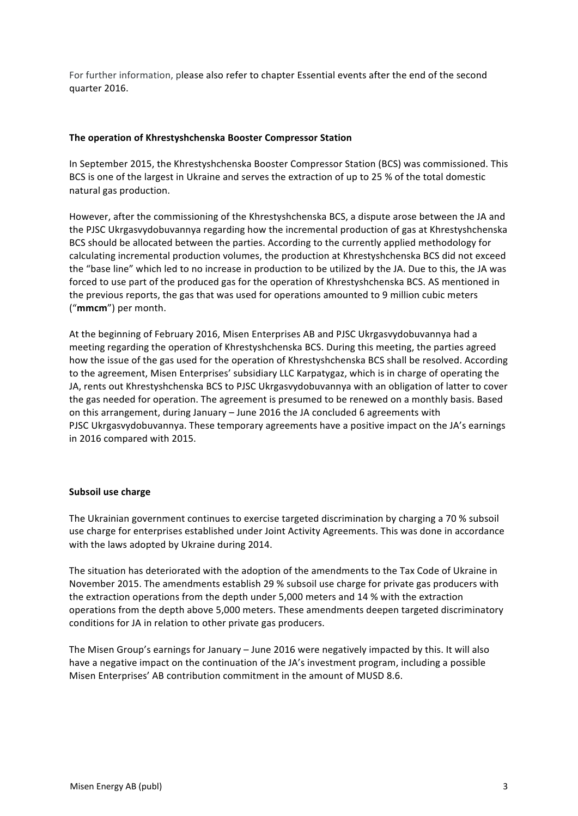For further information, please also refer to chapter Essential events after the end of the second quarter 2016.

## **The operation of Khrestyshchenska Booster Compressor Station**

In September 2015, the Khrestyshchenska Booster Compressor Station (BCS) was commissioned. This BCS is one of the largest in Ukraine and serves the extraction of up to 25 % of the total domestic natural gas production.

However, after the commissioning of the Khrestyshchenska BCS, a dispute arose between the JA and the PJSC Ukrgasvydobuvannya regarding how the incremental production of gas at Khrestyshchenska BCS should be allocated between the parties. According to the currently applied methodology for calculating incremental production volumes, the production at Khrestyshchenska BCS did not exceed the "base line" which led to no increase in production to be utilized by the JA. Due to this, the JA was forced to use part of the produced gas for the operation of Khrestyshchenska BCS. AS mentioned in the previous reports, the gas that was used for operations amounted to 9 million cubic meters ("mmcm") per month.

At the beginning of February 2016, Misen Enterprises AB and PJSC Ukrgasvydobuvannya had a meeting regarding the operation of Khrestyshchenska BCS. During this meeting, the parties agreed how the issue of the gas used for the operation of Khrestyshchenska BCS shall be resolved. According to the agreement, Misen Enterprises' subsidiary LLC Karpatygaz, which is in charge of operating the JA, rents out Khrestyshchenska BCS to PJSC Ukrgasvydobuvannya with an obligation of latter to cover the gas needed for operation. The agreement is presumed to be renewed on a monthly basis. Based on this arrangement, during January – June 2016 the JA concluded 6 agreements with PJSC Ukrgasvydobuvannya. These temporary agreements have a positive impact on the JA's earnings in 2016 compared with 2015.

## **Subsoil use charge**

The Ukrainian government continues to exercise targeted discrimination by charging a 70 % subsoil use charge for enterprises established under Joint Activity Agreements. This was done in accordance with the laws adopted by Ukraine during 2014.

The situation has deteriorated with the adoption of the amendments to the Tax Code of Ukraine in November 2015. The amendments establish 29 % subsoil use charge for private gas producers with the extraction operations from the depth under 5,000 meters and 14 % with the extraction operations from the depth above 5,000 meters. These amendments deepen targeted discriminatory conditions for JA in relation to other private gas producers.

The Misen Group's earnings for January - June 2016 were negatively impacted by this. It will also have a negative impact on the continuation of the JA's investment program, including a possible Misen Enterprises' AB contribution commitment in the amount of MUSD 8.6.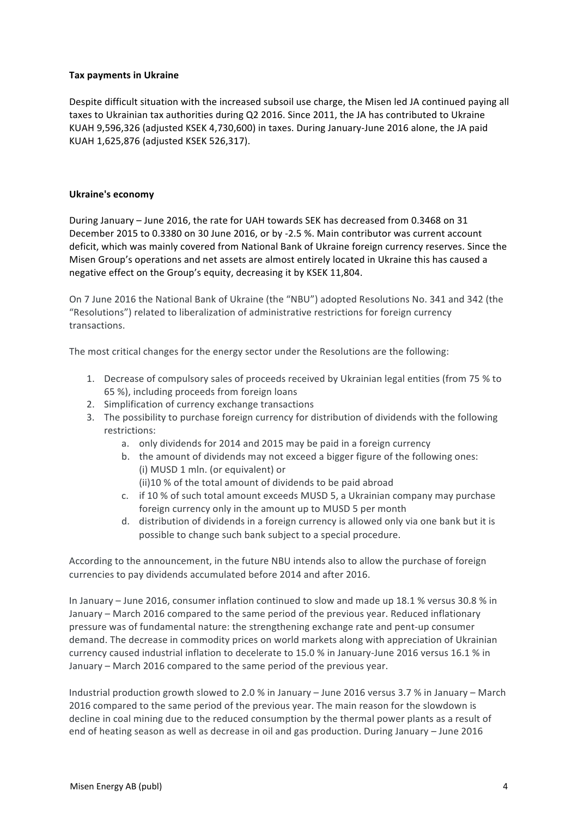## **Tax payments in Ukraine**

Despite difficult situation with the increased subsoil use charge, the Misen led JA continued paying all taxes to Ukrainian tax authorities during Q2 2016. Since 2011, the JA has contributed to Ukraine KUAH 9,596,326 (adjusted KSEK 4,730,600) in taxes. During January-June 2016 alone, the JA paid KUAH 1,625,876 (adjusted KSEK 526,317).

# **Ukraine's economy**

During January - June 2016, the rate for UAH towards SEK has decreased from 0.3468 on 31 December 2015 to 0.3380 on 30 June 2016, or by -2.5 %. Main contributor was current account deficit, which was mainly covered from National Bank of Ukraine foreign currency reserves. Since the Misen Group's operations and net assets are almost entirely located in Ukraine this has caused a negative effect on the Group's equity, decreasing it by KSEK 11,804.

On 7 June 2016 the National Bank of Ukraine (the "NBU") adopted Resolutions No. 341 and 342 (the "Resolutions") related to liberalization of administrative restrictions for foreign currency transactions. 

The most critical changes for the energy sector under the Resolutions are the following:

- 1. Decrease of compulsory sales of proceeds received by Ukrainian legal entities (from 75 % to 65 %), including proceeds from foreign loans
- 2. Simplification of currency exchange transactions
- 3. The possibility to purchase foreign currency for distribution of dividends with the following restrictions:
	- a. only dividends for 2014 and 2015 may be paid in a foreign currency
	- b. the amount of dividends may not exceed a bigger figure of the following ones: (i) MUSD 1 mln. (or equivalent) or
		- (ii)10 % of the total amount of dividends to be paid abroad
	- c. if 10 % of such total amount exceeds MUSD 5, a Ukrainian company may purchase foreign currency only in the amount up to MUSD 5 per month
	- d. distribution of dividends in a foreign currency is allowed only via one bank but it is possible to change such bank subject to a special procedure.

According to the announcement, in the future NBU intends also to allow the purchase of foreign currencies to pay dividends accumulated before 2014 and after 2016.

In January – June 2016, consumer inflation continued to slow and made up 18.1 % versus 30.8 % in January – March 2016 compared to the same period of the previous year. Reduced inflationary pressure was of fundamental nature: the strengthening exchange rate and pent-up consumer demand. The decrease in commodity prices on world markets along with appreciation of Ukrainian currency caused industrial inflation to decelerate to 15.0 % in January-June 2016 versus 16.1 % in January – March 2016 compared to the same period of the previous year.

Industrial production growth slowed to 2.0 % in January – June 2016 versus 3.7 % in January – March 2016 compared to the same period of the previous year. The main reason for the slowdown is decline in coal mining due to the reduced consumption by the thermal power plants as a result of end of heating season as well as decrease in oil and gas production. During January – June 2016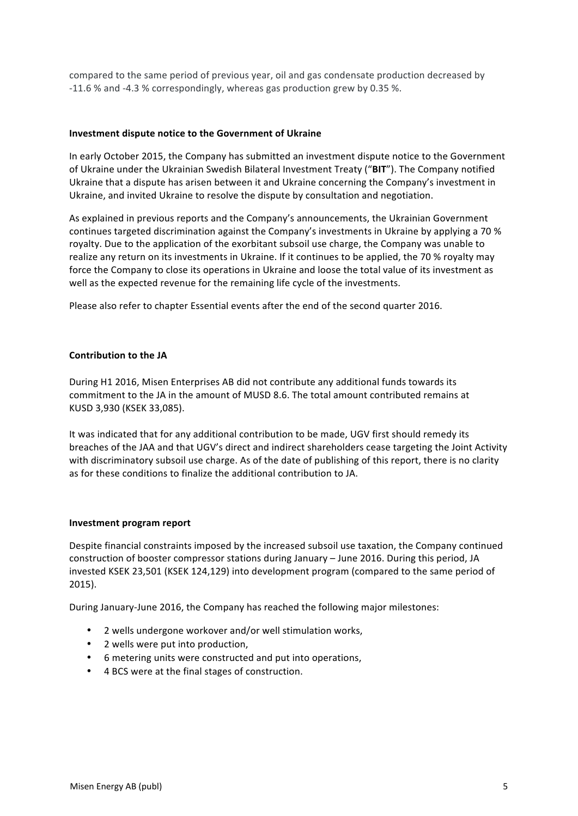compared to the same period of previous year, oil and gas condensate production decreased by -11.6 % and -4.3 % correspondingly, whereas gas production grew by 0.35 %.

#### **Investment dispute notice to the Government of Ukraine**

In early October 2015, the Company has submitted an investment dispute notice to the Government of Ukraine under the Ukrainian Swedish Bilateral Investment Treaty ("BIT"). The Company notified Ukraine that a dispute has arisen between it and Ukraine concerning the Company's investment in Ukraine, and invited Ukraine to resolve the dispute by consultation and negotiation.

As explained in previous reports and the Company's announcements, the Ukrainian Government continues targeted discrimination against the Company's investments in Ukraine by applying a 70 % royalty. Due to the application of the exorbitant subsoil use charge, the Company was unable to realize any return on its investments in Ukraine. If it continues to be applied, the 70 % royalty may force the Company to close its operations in Ukraine and loose the total value of its investment as well as the expected revenue for the remaining life cycle of the investments.

Please also refer to chapter Essential events after the end of the second quarter 2016.

#### **Contribution to the JA**

During H1 2016, Misen Enterprises AB did not contribute any additional funds towards its commitment to the JA in the amount of MUSD 8.6. The total amount contributed remains at KUSD 3,930 (KSEK 33,085).

It was indicated that for any additional contribution to be made, UGV first should remedy its breaches of the JAA and that UGV's direct and indirect shareholders cease targeting the Joint Activity with discriminatory subsoil use charge. As of the date of publishing of this report, there is no clarity as for these conditions to finalize the additional contribution to JA.

#### **Investment program report**

Despite financial constraints imposed by the increased subsoil use taxation, the Company continued construction of booster compressor stations during January - June 2016. During this period, JA invested KSEK 23,501 (KSEK 124,129) into development program (compared to the same period of 2015).

During January-June 2016, the Company has reached the following major milestones:

- 2 wells undergone workover and/or well stimulation works,
- 2 wells were put into production,
- 6 metering units were constructed and put into operations,
- 4 BCS were at the final stages of construction.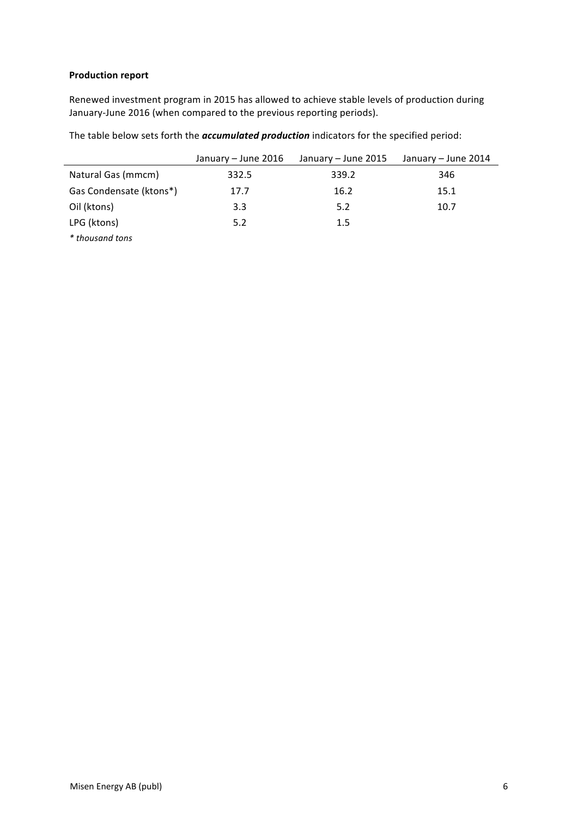# **Production report**

Renewed investment program in 2015 has allowed to achieve stable levels of production during January-June 2016 (when compared to the previous reporting periods).

The table below sets forth the *accumulated production* indicators for the specified period:

|                         | January - June 2016 | January – June 2015 | January – June 2014 |
|-------------------------|---------------------|---------------------|---------------------|
| Natural Gas (mmcm)      | 332.5               | 339.2               | 346                 |
| Gas Condensate (ktons*) | 17.7                | 16.2                | 15.1                |
| Oil (ktons)             | 3.3                 | 5.2                 | 10.7                |
| LPG (ktons)             | 5.2                 | 1.5                 |                     |
| * thousand tons         |                     |                     |                     |

Misen Energy AB (publ) 6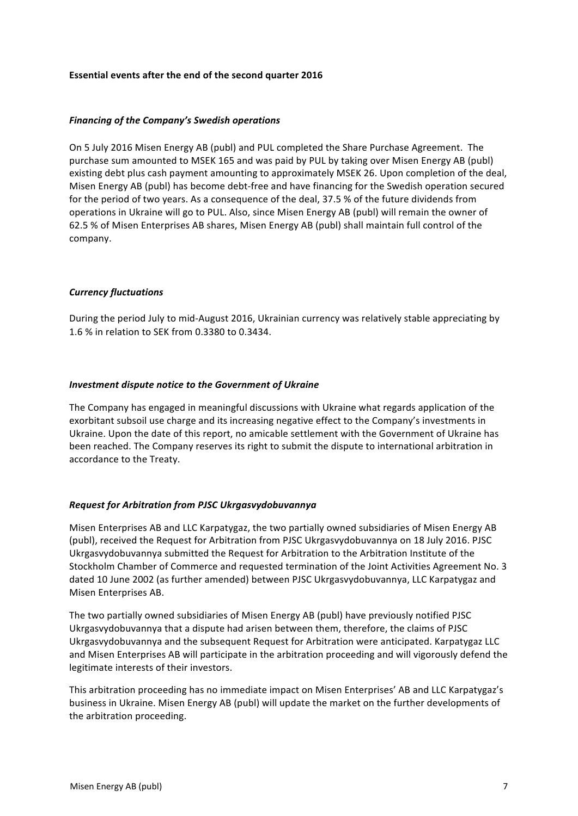#### **Essential events after the end of the second quarter 2016**

#### *Financing of the Company's Swedish operations*

On 5 July 2016 Misen Energy AB (publ) and PUL completed the Share Purchase Agreement. The purchase sum amounted to MSEK 165 and was paid by PUL by taking over Misen Energy AB (publ) existing debt plus cash payment amounting to approximately MSEK 26. Upon completion of the deal, Misen Energy AB (publ) has become debt-free and have financing for the Swedish operation secured for the period of two years. As a consequence of the deal, 37.5 % of the future dividends from operations in Ukraine will go to PUL. Also, since Misen Energy AB (publ) will remain the owner of 62.5 % of Misen Enterprises AB shares, Misen Energy AB (publ) shall maintain full control of the company. 

#### *Currency fluctuations*

During the period July to mid-August 2016, Ukrainian currency was relatively stable appreciating by 1.6 % in relation to SEK from 0.3380 to 0.3434.

#### *Investment dispute notice to the Government of Ukraine*

The Company has engaged in meaningful discussions with Ukraine what regards application of the exorbitant subsoil use charge and its increasing negative effect to the Company's investments in Ukraine. Upon the date of this report, no amicable settlement with the Government of Ukraine has been reached. The Company reserves its right to submit the dispute to international arbitration in accordance to the Treaty.

## *Request for Arbitration from PJSC Ukrgasvydobuvannya*

Misen Enterprises AB and LLC Karpatygaz, the two partially owned subsidiaries of Misen Energy AB (publ), received the Request for Arbitration from PJSC Ukrgasvydobuvannya on 18 July 2016. PJSC Ukrgasvydobuvannya submitted the Request for Arbitration to the Arbitration Institute of the Stockholm Chamber of Commerce and requested termination of the Joint Activities Agreement No. 3 dated 10 June 2002 (as further amended) between PJSC Ukrgasvydobuvannya, LLC Karpatygaz and Misen Enterprises AB.

The two partially owned subsidiaries of Misen Energy AB (publ) have previously notified PJSC Ukrgasvydobuvannya that a dispute had arisen between them, therefore, the claims of PJSC Ukrgasvydobuvannya and the subsequent Request for Arbitration were anticipated. Karpatygaz LLC and Misen Enterprises AB will participate in the arbitration proceeding and will vigorously defend the legitimate interests of their investors.

This arbitration proceeding has no immediate impact on Misen Enterprises' AB and LLC Karpatygaz's business in Ukraine. Misen Energy AB (publ) will update the market on the further developments of the arbitration proceeding.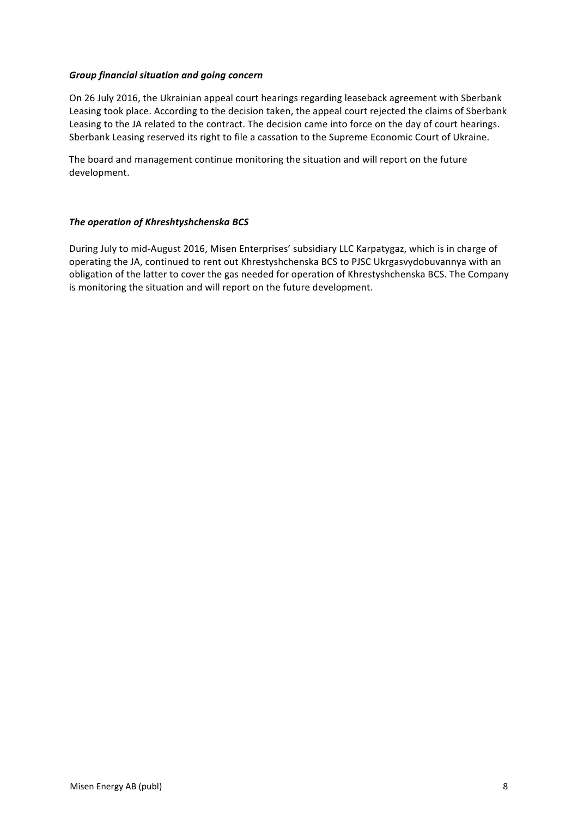### *Group financial situation and going concern*

On 26 July 2016, the Ukrainian appeal court hearings regarding leaseback agreement with Sberbank Leasing took place. According to the decision taken, the appeal court rejected the claims of Sberbank Leasing to the JA related to the contract. The decision came into force on the day of court hearings. Sberbank Leasing reserved its right to file a cassation to the Supreme Economic Court of Ukraine.

The board and management continue monitoring the situation and will report on the future development.

#### **The operation of Khreshtyshchenska BCS**

During July to mid-August 2016, Misen Enterprises' subsidiary LLC Karpatygaz, which is in charge of operating the JA, continued to rent out Khrestyshchenska BCS to PJSC Ukrgasvydobuvannya with an obligation of the latter to cover the gas needed for operation of Khrestyshchenska BCS. The Company is monitoring the situation and will report on the future development.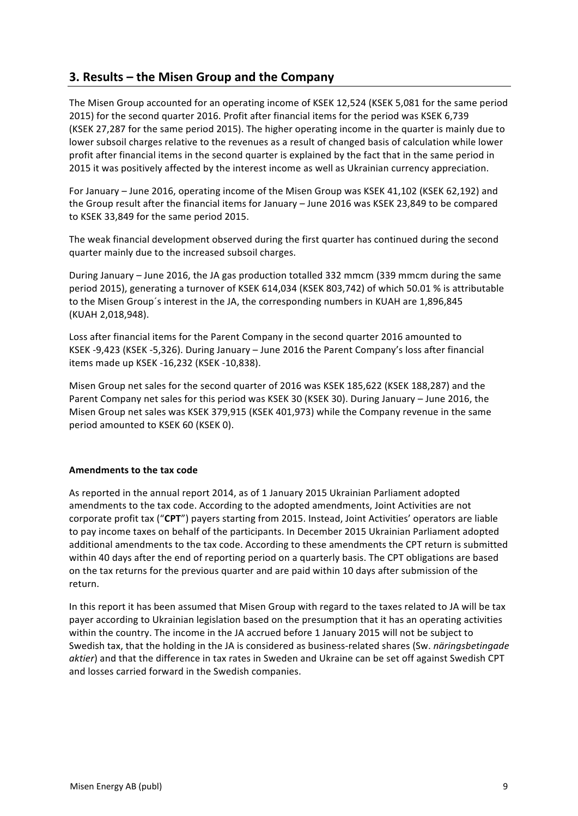# **3. Results – the Misen Group and the Company**

The Misen Group accounted for an operating income of KSEK 12,524 (KSEK 5,081 for the same period 2015) for the second quarter 2016. Profit after financial items for the period was KSEK 6,739 (KSEK 27,287 for the same period 2015). The higher operating income in the quarter is mainly due to lower subsoil charges relative to the revenues as a result of changed basis of calculation while lower profit after financial items in the second quarter is explained by the fact that in the same period in 2015 it was positively affected by the interest income as well as Ukrainian currency appreciation.

For January – June 2016, operating income of the Misen Group was KSEK 41,102 (KSEK 62,192) and the Group result after the financial items for January – June 2016 was KSEK 23,849 to be compared to KSEK 33,849 for the same period 2015.

The weak financial development observed during the first quarter has continued during the second quarter mainly due to the increased subsoil charges.

During January – June 2016, the JA gas production totalled 332 mmcm (339 mmcm during the same period 2015), generating a turnover of KSEK 614,034 (KSEK 803,742) of which 50.01 % is attributable to the Misen Group's interest in the JA, the corresponding numbers in KUAH are 1,896,845 (KUAH 2,018,948).

Loss after financial items for the Parent Company in the second quarter 2016 amounted to KSEK -9,423 (KSEK -5,326). During January - June 2016 the Parent Company's loss after financial items made up KSEK -16,232 (KSEK -10,838).

Misen Group net sales for the second quarter of 2016 was KSEK 185,622 (KSEK 188,287) and the Parent Company net sales for this period was KSEK 30 (KSEK 30). During January - June 2016, the Misen Group net sales was KSEK 379,915 (KSEK 401,973) while the Company revenue in the same period amounted to KSEK 60 (KSEK 0).

## **Amendments to the tax code**

As reported in the annual report 2014, as of 1 January 2015 Ukrainian Parliament adopted amendments to the tax code. According to the adopted amendments, Joint Activities are not corporate profit tax ("CPT") payers starting from 2015. Instead, Joint Activities' operators are liable to pay income taxes on behalf of the participants. In December 2015 Ukrainian Parliament adopted additional amendments to the tax code. According to these amendments the CPT return is submitted within 40 days after the end of reporting period on a quarterly basis. The CPT obligations are based on the tax returns for the previous quarter and are paid within 10 days after submission of the return. 

In this report it has been assumed that Misen Group with regard to the taxes related to JA will be tax payer according to Ukrainian legislation based on the presumption that it has an operating activities within the country. The income in the JA accrued before 1 January 2015 will not be subject to Swedish tax, that the holding in the JA is considered as business-related shares (Sw. *näringsbetingade aktier*) and that the difference in tax rates in Sweden and Ukraine can be set off against Swedish CPT and losses carried forward in the Swedish companies.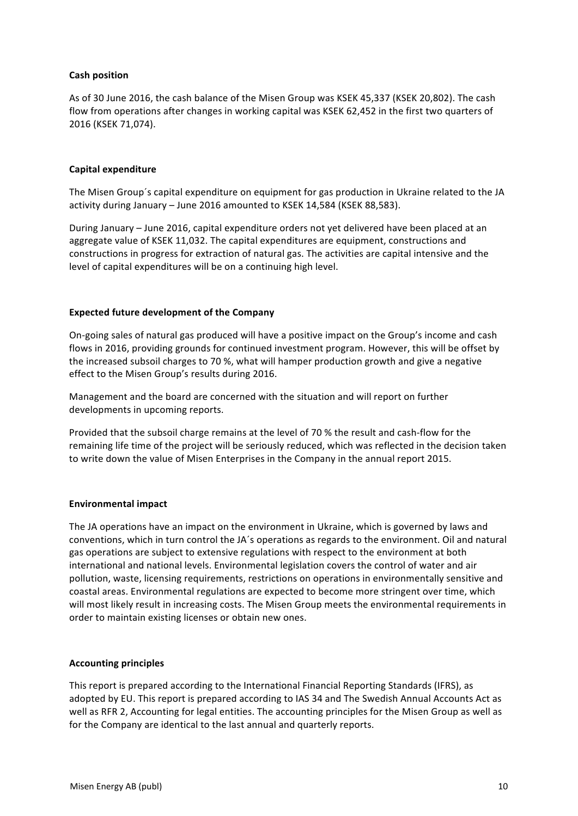## **Cash position**

As of 30 June 2016, the cash balance of the Misen Group was KSEK 45,337 (KSEK 20,802). The cash flow from operations after changes in working capital was KSEK 62,452 in the first two quarters of 2016 (KSEK 71,074). 

# **Capital expenditure**

The Misen Group's capital expenditure on equipment for gas production in Ukraine related to the JA activity during January - June 2016 amounted to KSEK 14,584 (KSEK 88,583).

During January - June 2016, capital expenditure orders not yet delivered have been placed at an aggregate value of KSEK 11,032. The capital expenditures are equipment, constructions and constructions in progress for extraction of natural gas. The activities are capital intensive and the level of capital expenditures will be on a continuing high level.

## **Expected future development of the Company**

On-going sales of natural gas produced will have a positive impact on the Group's income and cash flows in 2016, providing grounds for continued investment program. However, this will be offset by the increased subsoil charges to 70 %, what will hamper production growth and give a negative effect to the Misen Group's results during 2016.

Management and the board are concerned with the situation and will report on further developments in upcoming reports.

Provided that the subsoil charge remains at the level of 70 % the result and cash-flow for the remaining life time of the project will be seriously reduced, which was reflected in the decision taken to write down the value of Misen Enterprises in the Company in the annual report 2015.

## **Environmental impact**

The JA operations have an impact on the environment in Ukraine, which is governed by laws and conventions, which in turn control the JA's operations as regards to the environment. Oil and natural gas operations are subject to extensive regulations with respect to the environment at both international and national levels. Environmental legislation covers the control of water and air pollution, waste, licensing requirements, restrictions on operations in environmentally sensitive and coastal areas. Environmental regulations are expected to become more stringent over time, which will most likely result in increasing costs. The Misen Group meets the environmental requirements in order to maintain existing licenses or obtain new ones.

## **Accounting principles**

This report is prepared according to the International Financial Reporting Standards (IFRS), as adopted by EU. This report is prepared according to IAS 34 and The Swedish Annual Accounts Act as well as RFR 2, Accounting for legal entities. The accounting principles for the Misen Group as well as for the Company are identical to the last annual and quarterly reports.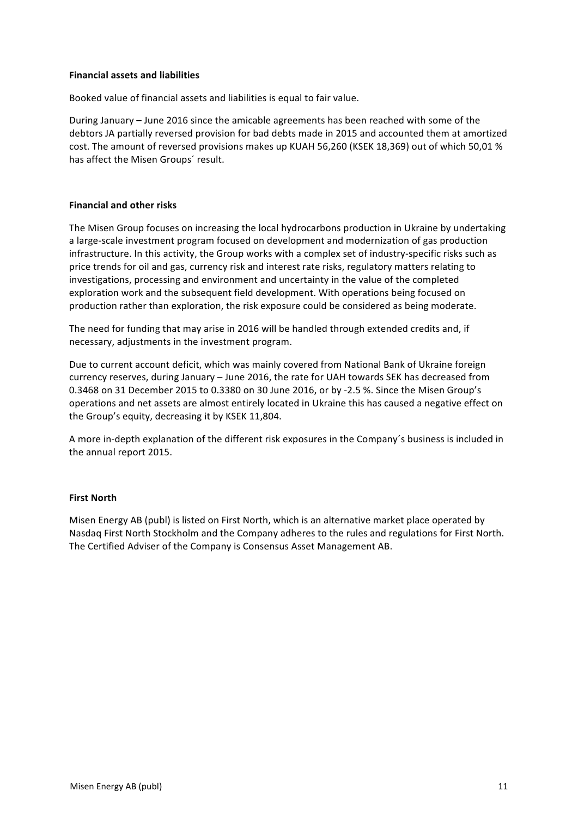### **Financial assets and liabilities**

Booked value of financial assets and liabilities is equal to fair value.

During January - June 2016 since the amicable agreements has been reached with some of the debtors JA partially reversed provision for bad debts made in 2015 and accounted them at amortized cost. The amount of reversed provisions makes up KUAH 56,260 (KSEK 18,369) out of which 50,01 % has affect the Misen Groups' result.

#### **Financial and other risks**

The Misen Group focuses on increasing the local hydrocarbons production in Ukraine by undertaking a large-scale investment program focused on development and modernization of gas production infrastructure. In this activity, the Group works with a complex set of industry-specific risks such as price trends for oil and gas, currency risk and interest rate risks, regulatory matters relating to investigations, processing and environment and uncertainty in the value of the completed exploration work and the subsequent field development. With operations being focused on production rather than exploration, the risk exposure could be considered as being moderate.

The need for funding that may arise in 2016 will be handled through extended credits and, if necessary, adjustments in the investment program.

Due to current account deficit, which was mainly covered from National Bank of Ukraine foreign currency reserves, during January – June 2016, the rate for UAH towards SEK has decreased from 0.3468 on 31 December 2015 to 0.3380 on 30 June 2016, or by -2.5 %. Since the Misen Group's operations and net assets are almost entirely located in Ukraine this has caused a negative effect on the Group's equity, decreasing it by KSEK 11,804.

A more in-depth explanation of the different risk exposures in the Company's business is included in the annual report 2015.

## **First North**

Misen Energy AB (publ) is listed on First North, which is an alternative market place operated by Nasdaq First North Stockholm and the Company adheres to the rules and regulations for First North. The Certified Adviser of the Company is Consensus Asset Management AB.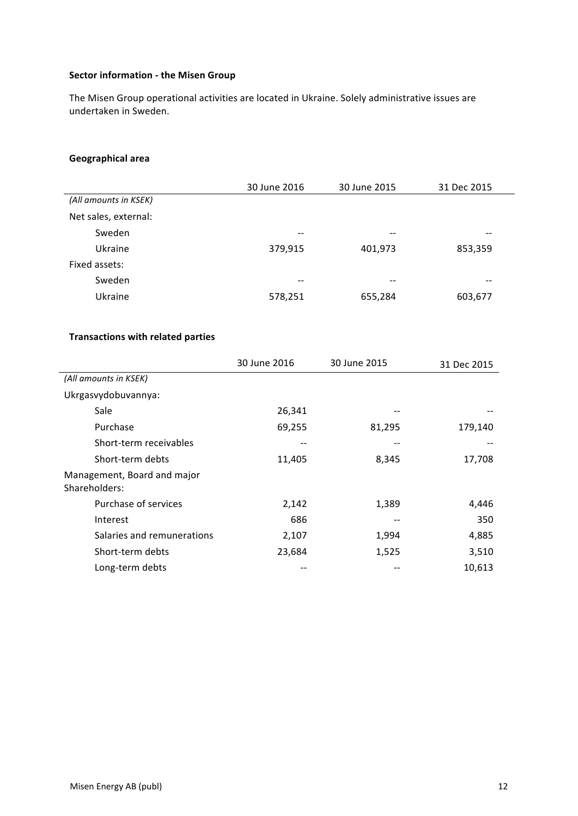# **Sector information - the Misen Group**

The Misen Group operational activities are located in Ukraine. Solely administrative issues are undertaken in Sweden.

# **Geographical area**

|                       | 30 June 2016 | 30 June 2015 | 31 Dec 2015 |
|-----------------------|--------------|--------------|-------------|
| (All amounts in KSEK) |              |              |             |
| Net sales, external:  |              |              |             |
| Sweden                | --           | $- -$        | --          |
| Ukraine               | 379,915      | 401,973      | 853,359     |
| Fixed assets:         |              |              |             |
| Sweden                | --           | --           | --          |
| Ukraine               | 578,251      | 655,284      | 603,677     |

# **Transactions with related parties**

|                                              | 30 June 2016 | 30 June 2015 | 31 Dec 2015 |
|----------------------------------------------|--------------|--------------|-------------|
| (All amounts in KSEK)                        |              |              |             |
| Ukrgasvydobuvannya:                          |              |              |             |
| Sale                                         | 26,341       |              |             |
| Purchase                                     | 69,255       | 81,295       | 179,140     |
| Short-term receivables                       |              |              |             |
| Short-term debts                             | 11,405       | 8,345        | 17,708      |
| Management, Board and major<br>Shareholders: |              |              |             |
| Purchase of services                         | 2,142        | 1,389        | 4,446       |
| Interest                                     | 686          |              | 350         |
| Salaries and remunerations                   | 2,107        | 1,994        | 4,885       |
| Short-term debts                             | 23,684       | 1,525        | 3,510       |
| Long-term debts                              |              |              | 10,613      |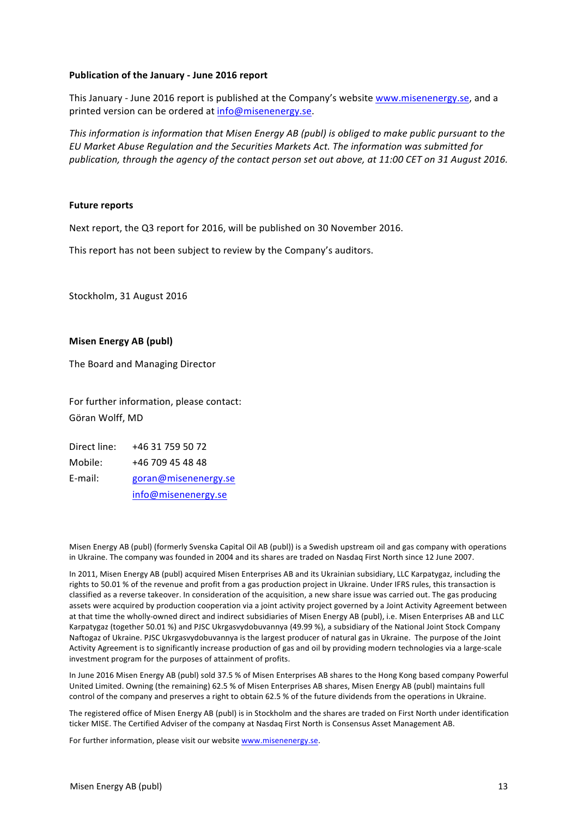#### **Publication of the January - June 2016 report**

This January - June 2016 report is published at the Company's website www.misenenergy.se, and a printed version can be ordered at info@misenenergy.se.

*This information is information that Misen Energy AB (publ)* is obliged to make public pursuant to the *EU Market Abuse Regulation and the Securities Markets Act. The information was submitted for*  publication, through the agency of the contact person set out above, at 11:00 CET on 31 August 2016.

#### **Future reports**

Next report, the Q3 report for 2016, will be published on 30 November 2016.

This report has not been subject to review by the Company's auditors.

Stockholm, 31 August 2016

#### **Misen Energy AB (publ)**

The Board and Managing Director

For further information, please contact: Göran Wolff, MD

| Direct line: | +46 31 759 50 72     |
|--------------|----------------------|
| Mobile:      | +46 709 45 48 48     |
| E-mail:      | goran@misenenergy.se |
|              | info@misenenergy.se  |

Misen Energy AB (publ) (formerly Svenska Capital Oil AB (publ)) is a Swedish upstream oil and gas company with operations in Ukraine. The company was founded in 2004 and its shares are traded on Nasdaq First North since 12 June 2007.

In 2011, Misen Energy AB (publ) acquired Misen Enterprises AB and its Ukrainian subsidiary, LLC Karpatygaz, including the rights to 50.01 % of the revenue and profit from a gas production project in Ukraine. Under IFRS rules, this transaction is classified as a reverse takeover. In consideration of the acquisition, a new share issue was carried out. The gas producing assets were acquired by production cooperation via a joint activity project governed by a Joint Activity Agreement between at that time the wholly-owned direct and indirect subsidiaries of Misen Energy AB (publ), i.e. Misen Enterprises AB and LLC Karpatygaz (together 50.01 %) and PJSC Ukrgasvydobuvannya (49.99 %), a subsidiary of the National Joint Stock Company Naftogaz of Ukraine. PJSC Ukrgasvydobuvannya is the largest producer of natural gas in Ukraine. The purpose of the Joint Activity Agreement is to significantly increase production of gas and oil by providing modern technologies via a large-scale investment program for the purposes of attainment of profits.

In June 2016 Misen Energy AB (publ) sold 37.5 % of Misen Enterprises AB shares to the Hong Kong based company Powerful United Limited. Owning (the remaining) 62.5 % of Misen Enterprises AB shares, Misen Energy AB (publ) maintains full control of the company and preserves a right to obtain 62.5 % of the future dividends from the operations in Ukraine.

The registered office of Misen Energy AB (publ) is in Stockholm and the shares are traded on First North under identification ticker MISE. The Certified Adviser of the company at Nasdaq First North is Consensus Asset Management AB.

For further information, please visit our website www.misenenergy.se.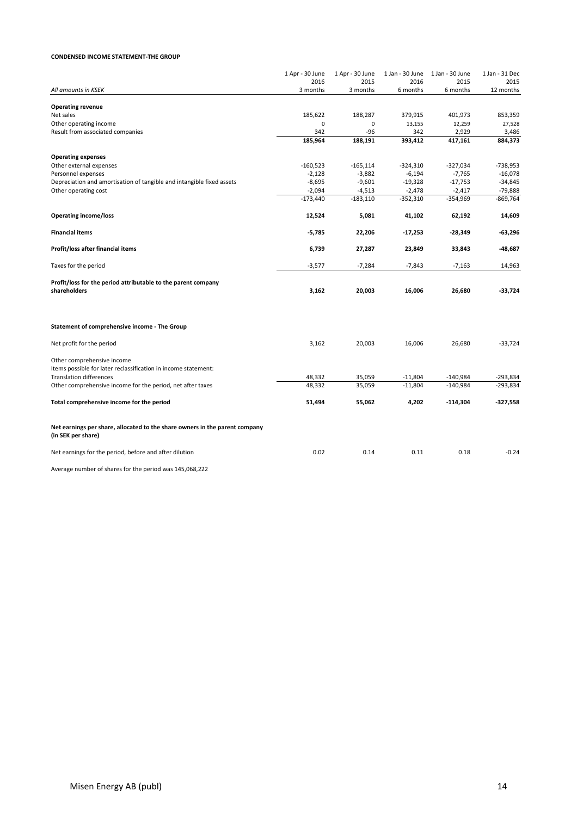#### **CONDENSED INCOME STATEMENT-THE GROUP**

|                                                                             | 1 Apr - 30 June | 1 Apr - 30 June | 1 Jan - 30 June | 1 Jan - 30 June  | 1 Jan - 31 Dec   |
|-----------------------------------------------------------------------------|-----------------|-----------------|-----------------|------------------|------------------|
|                                                                             | 2016            | 2015            | 2016            | 2015             | 2015             |
| All amounts in KSEK                                                         | 3 months        | 3 months        | 6 months        | 6 months         | 12 months        |
|                                                                             |                 |                 |                 |                  |                  |
| <b>Operating revenue</b>                                                    |                 |                 |                 |                  |                  |
| Net sales                                                                   | 185,622         | 188,287         | 379,915         | 401,973          | 853,359          |
| Other operating income                                                      | 0               | 0               | 13,155          | 12,259           | 27,528           |
| Result from associated companies                                            | 342<br>185,964  | $-96$           | 342<br>393,412  | 2,929<br>417,161 | 3,486<br>884,373 |
|                                                                             |                 | 188,191         |                 |                  |                  |
| <b>Operating expenses</b>                                                   |                 |                 |                 |                  |                  |
| Other external expenses                                                     | $-160,523$      | $-165, 114$     | $-324,310$      | $-327,034$       | $-738,953$       |
| Personnel expenses                                                          | $-2,128$        | $-3,882$        | $-6,194$        | $-7,765$         | $-16,078$        |
| Depreciation and amortisation of tangible and intangible fixed assets       | $-8,695$        | $-9,601$        | $-19,328$       | $-17,753$        | $-34,845$        |
| Other operating cost                                                        | $-2,094$        | $-4,513$        | $-2,478$        | $-2,417$         | $-79,888$        |
|                                                                             | $-173,440$      | $-183,110$      | $-352,310$      | $-354,969$       | $-869,764$       |
|                                                                             |                 |                 |                 |                  |                  |
| <b>Operating income/loss</b>                                                | 12,524          | 5,081           | 41,102          | 62,192           | 14,609           |
| <b>Financial items</b>                                                      | $-5,785$        | 22,206          | $-17,253$       | -28,349          | $-63,296$        |
|                                                                             |                 |                 |                 |                  |                  |
| Profit/loss after financial items                                           | 6,739           | 27,287          | 23,849          | 33,843           | $-48,687$        |
|                                                                             |                 |                 |                 |                  |                  |
| Taxes for the period                                                        | $-3,577$        | $-7,284$        | $-7,843$        | $-7,163$         | 14,963           |
| Profit/loss for the period attributable to the parent company               |                 |                 |                 |                  |                  |
| shareholders                                                                | 3,162           | 20,003          | 16,006          | 26,680           | $-33,724$        |
|                                                                             |                 |                 |                 |                  |                  |
|                                                                             |                 |                 |                 |                  |                  |
|                                                                             |                 |                 |                 |                  |                  |
| Statement of comprehensive income - The Group                               |                 |                 |                 |                  |                  |
| Net profit for the period                                                   | 3,162           | 20,003          | 16,006          | 26,680           | $-33,724$        |
|                                                                             |                 |                 |                 |                  |                  |
| Other comprehensive income                                                  |                 |                 |                 |                  |                  |
| Items possible for later reclassification in income statement:              |                 |                 |                 |                  |                  |
| <b>Translation differences</b>                                              | 48,332          | 35,059          | $-11,804$       | $-140,984$       | -293,834         |
| Other comprehensive income for the period, net after taxes                  | 48,332          | 35,059          | $-11,804$       | $-140,984$       | $-293,834$       |
|                                                                             |                 |                 |                 |                  |                  |
| Total comprehensive income for the period                                   | 51,494          | 55,062          | 4,202           | $-114,304$       | $-327,558$       |
|                                                                             |                 |                 |                 |                  |                  |
|                                                                             |                 |                 |                 |                  |                  |
| Net earnings per share, allocated to the share owners in the parent company |                 |                 |                 |                  |                  |
| (in SEK per share)                                                          |                 |                 |                 |                  |                  |
| Net earnings for the period, before and after dilution                      | 0.02            | 0.14            | 0.11            | 0.18             | $-0.24$          |
|                                                                             |                 |                 |                 |                  |                  |
|                                                                             |                 |                 |                 |                  |                  |

Average number of shares for the period was 145,068,222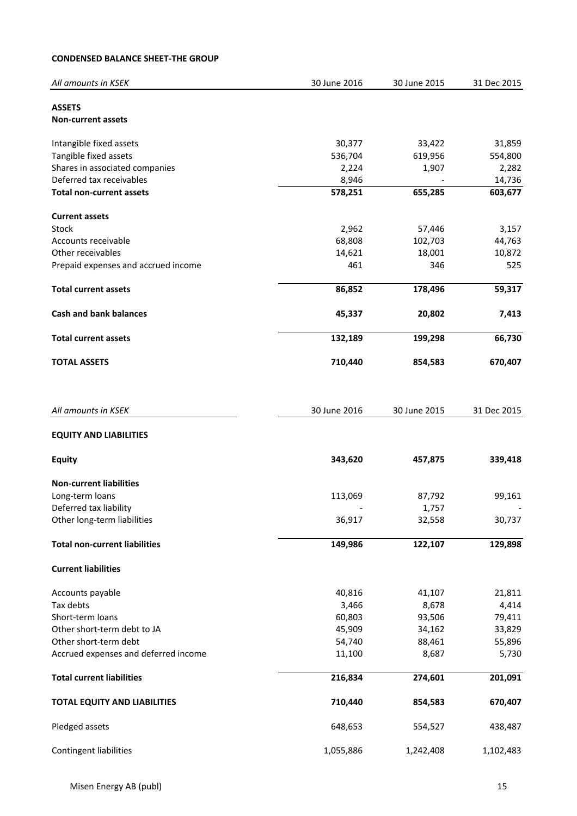# **CONDENSED BALANCE SHEET-THE GROUP**

| All amounts in KSEK                  | 30 June 2016 | 30 June 2015 | 31 Dec 2015 |
|--------------------------------------|--------------|--------------|-------------|
| <b>ASSETS</b>                        |              |              |             |
| <b>Non-current assets</b>            |              |              |             |
|                                      |              |              |             |
| Intangible fixed assets              | 30,377       | 33,422       | 31,859      |
| Tangible fixed assets                | 536,704      | 619,956      | 554,800     |
| Shares in associated companies       | 2,224        | 1,907        | 2,282       |
| Deferred tax receivables             | 8,946        |              | 14,736      |
| <b>Total non-current assets</b>      | 578,251      | 655,285      | 603,677     |
| <b>Current assets</b>                |              |              |             |
| Stock                                | 2,962        | 57,446       | 3,157       |
| Accounts receivable                  | 68,808       | 102,703      | 44,763      |
| Other receivables                    | 14,621       | 18,001       | 10,872      |
| Prepaid expenses and accrued income  | 461          | 346          | 525         |
|                                      |              |              |             |
| <b>Total current assets</b>          | 86,852       | 178,496      | 59,317      |
| <b>Cash and bank balances</b>        | 45,337       | 20,802       | 7,413       |
| <b>Total current assets</b>          | 132,189      | 199,298      | 66,730      |
|                                      |              |              |             |
| <b>TOTAL ASSETS</b>                  | 710,440      | 854,583      | 670,407     |
|                                      |              |              |             |
| All amounts in KSEK                  | 30 June 2016 | 30 June 2015 | 31 Dec 2015 |
| <b>EQUITY AND LIABILITIES</b>        |              |              |             |
|                                      |              |              |             |
| <b>Equity</b>                        | 343,620      | 457,875      | 339,418     |
| <b>Non-current liabilities</b>       |              |              |             |
| Long-term loans                      | 113,069      | 87,792       | 99,161      |
| Deferred tax liability               |              | 1,757        |             |
| Other long-term liabilities          | 36,917       | 32,558       | 30,737      |
| <b>Total non-current liabilities</b> | 149,986      | 122,107      | 129,898     |
|                                      |              |              |             |
| <b>Current liabilities</b>           |              |              |             |
| Accounts payable                     | 40,816       | 41,107       | 21,811      |
| Tax debts                            | 3,466        | 8,678        | 4,414       |
| Short-term loans                     | 60,803       | 93,506       | 79,411      |
| Other short-term debt to JA          | 45,909       | 34,162       | 33,829      |
| Other short-term debt                | 54,740       | 88,461       | 55,896      |
| Accrued expenses and deferred income | 11,100       | 8,687        | 5,730       |
| <b>Total current liabilities</b>     | 216,834      | 274,601      | 201,091     |
| <b>TOTAL EQUITY AND LIABILITIES</b>  | 710,440      | 854,583      | 670,407     |
|                                      |              |              |             |
| Pledged assets                       | 648,653      | 554,527      | 438,487     |
| <b>Contingent liabilities</b>        | 1,055,886    | 1,242,408    | 1,102,483   |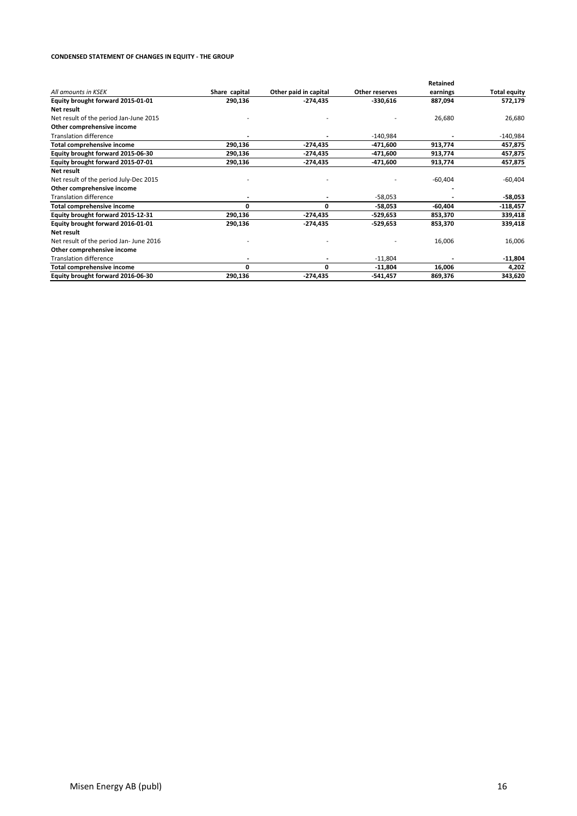#### **CONDENSED STATEMENT OF CHANGES IN EQUITY - THE GROUP**

|                                        |               |                       |                | Retained  |                     |
|----------------------------------------|---------------|-----------------------|----------------|-----------|---------------------|
| All amounts in KSEK                    | Share capital | Other paid in capital | Other reserves | earnings  | <b>Total equity</b> |
| Equity brought forward 2015-01-01      | 290,136       | -274,435              | $-330,616$     | 887,094   | 572,179             |
| Net result                             |               |                       |                |           |                     |
| Net result of the period Jan-June 2015 |               |                       |                | 26,680    | 26,680              |
| Other comprehensive income             |               |                       |                |           |                     |
| <b>Translation difference</b>          |               |                       | $-140,984$     |           | $-140,984$          |
| Total comprehensive income             | 290,136       | -274,435              | -471,600       | 913,774   | 457,875             |
| Equity brought forward 2015-06-30      | 290,136       | -274,435              | -471,600       | 913,774   | 457,875             |
| Equity brought forward 2015-07-01      | 290,136       | -274,435              | -471,600       | 913,774   | 457,875             |
| Net result                             |               |                       |                |           |                     |
| Net result of the period July-Dec 2015 |               |                       |                | $-60,404$ | $-60,404$           |
| Other comprehensive income             |               |                       |                |           |                     |
| <b>Translation difference</b>          |               |                       | $-58,053$      |           | -58,053             |
| Total comprehensive income             | 0             | 0                     | -58,053        | $-60,404$ | $-118,457$          |
| Equity brought forward 2015-12-31      | 290,136       | -274,435              | -529,653       | 853,370   | 339,418             |
| Equity brought forward 2016-01-01      | 290,136       | -274,435              | -529,653       | 853,370   | 339,418             |
| Net result                             |               |                       |                |           |                     |
| Net result of the period Jan-June 2016 |               |                       |                | 16,006    | 16,006              |
| Other comprehensive income             |               |                       |                |           |                     |
| <b>Translation difference</b>          |               |                       | $-11,804$      |           | $-11,804$           |
| Total comprehensive income             | 0             | 0                     | $-11,804$      | 16,006    | 4,202               |
| Equity brought forward 2016-06-30      | 290,136       | -274,435              | $-541,457$     | 869,376   | 343,620             |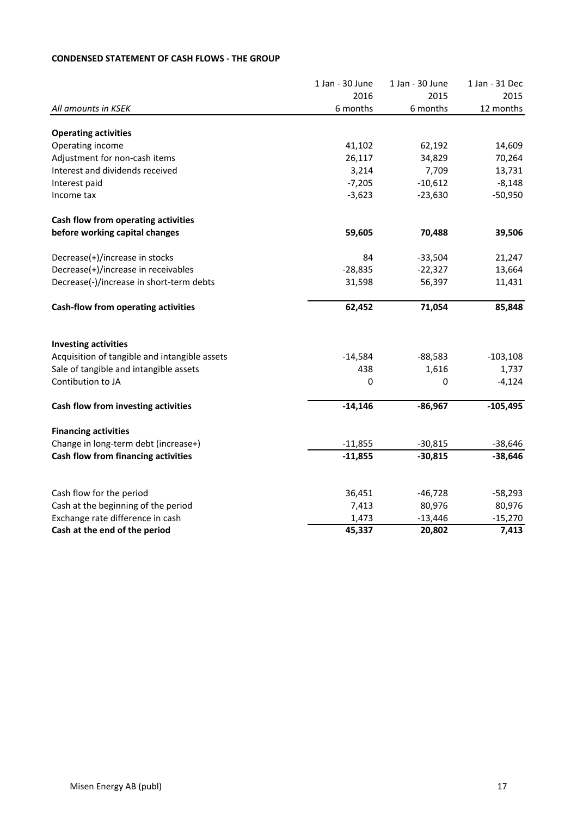# **CONDENSED STATEMENT OF CASH FLOWS - THE GROUP**

|                                               | 1 Jan - 30 June | 1 Jan - 30 June | 1 Jan - 31 Dec |
|-----------------------------------------------|-----------------|-----------------|----------------|
|                                               | 2016            | 2015            | 2015           |
| All amounts in KSEK                           | 6 months        | 6 months        | 12 months      |
| <b>Operating activities</b>                   |                 |                 |                |
| Operating income                              | 41,102          | 62,192          | 14,609         |
| Adjustment for non-cash items                 | 26,117          | 34,829          | 70,264         |
| Interest and dividends received               | 3,214           | 7,709           | 13,731         |
| Interest paid                                 | $-7,205$        | $-10,612$       | $-8,148$       |
| Income tax                                    | $-3,623$        | $-23,630$       | $-50,950$      |
| Cash flow from operating activities           |                 |                 |                |
| before working capital changes                | 59,605          | 70,488          | 39,506         |
| Decrease(+)/increase in stocks                | 84              | $-33,504$       | 21,247         |
| Decrease(+)/increase in receivables           | $-28,835$       | $-22,327$       | 13,664         |
| Decrease(-)/increase in short-term debts      | 31,598          | 56,397          | 11,431         |
| Cash-flow from operating activities           | 62,452          | 71,054          | 85,848         |
| <b>Investing activities</b>                   |                 |                 |                |
| Acquisition of tangible and intangible assets | $-14,584$       | $-88,583$       | $-103,108$     |
| Sale of tangible and intangible assets        | 438             | 1,616           | 1,737          |
| Contibution to JA                             | 0               | 0               | $-4,124$       |
| Cash flow from investing activities           | $-14,146$       | $-86,967$       | $-105,495$     |
| <b>Financing activities</b>                   |                 |                 |                |
| Change in long-term debt (increase+)          | $-11,855$       | $-30,815$       | $-38,646$      |
| Cash flow from financing activities           | $-11,855$       | $-30,815$       | $-38,646$      |
|                                               |                 |                 |                |
| Cash flow for the period                      | 36,451          | $-46,728$       | $-58,293$      |
| Cash at the beginning of the period           | 7,413           | 80,976          | 80,976         |
| Exchange rate difference in cash              | 1,473           | $-13,446$       | $-15,270$      |
| Cash at the end of the period                 | 45,337          | 20,802          | 7,413          |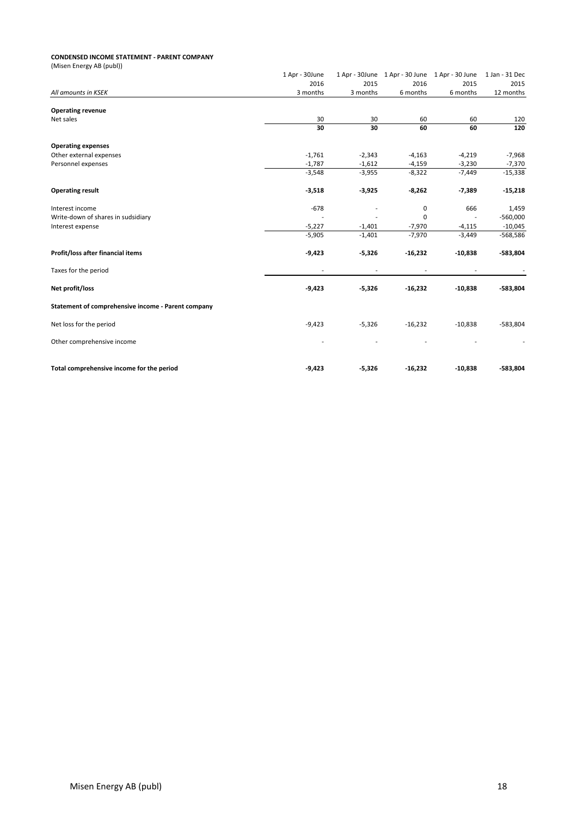#### **CONDENSED INCOME STATEMENT - PARENT COMPANY**

| (Misen Energy AB (publ))                           |                |          |                                                |           |                |
|----------------------------------------------------|----------------|----------|------------------------------------------------|-----------|----------------|
|                                                    | 1 Apr - 30June |          | 1 Apr - 30June 1 Apr - 30 June 1 Apr - 30 June |           | 1 Jan - 31 Dec |
|                                                    | 2016           | 2015     | 2016                                           | 2015      | 2015           |
| All amounts in KSEK                                | 3 months       | 3 months | 6 months                                       | 6 months  | 12 months      |
| <b>Operating revenue</b>                           |                |          |                                                |           |                |
| Net sales                                          | 30             | 30       | 60                                             | 60        | 120            |
|                                                    | 30             | 30       | 60                                             | 60        | 120            |
| <b>Operating expenses</b>                          |                |          |                                                |           |                |
| Other external expenses                            | $-1,761$       | $-2,343$ | $-4,163$                                       | $-4,219$  | $-7,968$       |
| Personnel expenses                                 | $-1,787$       | $-1,612$ | $-4,159$                                       | $-3,230$  | $-7,370$       |
|                                                    | $-3,548$       | $-3,955$ | $-8,322$                                       | $-7,449$  | $-15,338$      |
| <b>Operating result</b>                            | $-3,518$       | $-3,925$ | $-8,262$                                       | $-7,389$  | $-15,218$      |
| Interest income                                    | $-678$         |          | 0                                              | 666       | 1,459          |
| Write-down of shares in sudsidiary                 |                |          | $\Omega$                                       | ÷,        | $-560,000$     |
| Interest expense                                   | $-5,227$       | $-1,401$ | $-7,970$                                       | $-4,115$  | $-10,045$      |
|                                                    | $-5,905$       | $-1,401$ | $-7,970$                                       | $-3,449$  | $-568,586$     |
| Profit/loss after financial items                  | $-9,423$       | $-5,326$ | $-16,232$                                      | $-10,838$ | -583,804       |
| Taxes for the period                               |                |          |                                                |           |                |
| Net profit/loss                                    | $-9,423$       | $-5,326$ | $-16,232$                                      | $-10,838$ | $-583,804$     |
| Statement of comprehensive income - Parent company |                |          |                                                |           |                |
| Net loss for the period                            | $-9,423$       | $-5,326$ | $-16,232$                                      | $-10,838$ | $-583,804$     |
| Other comprehensive income                         |                |          |                                                |           |                |
| Total comprehensive income for the period          | $-9,423$       | $-5,326$ | $-16,232$                                      | $-10,838$ | $-583,804$     |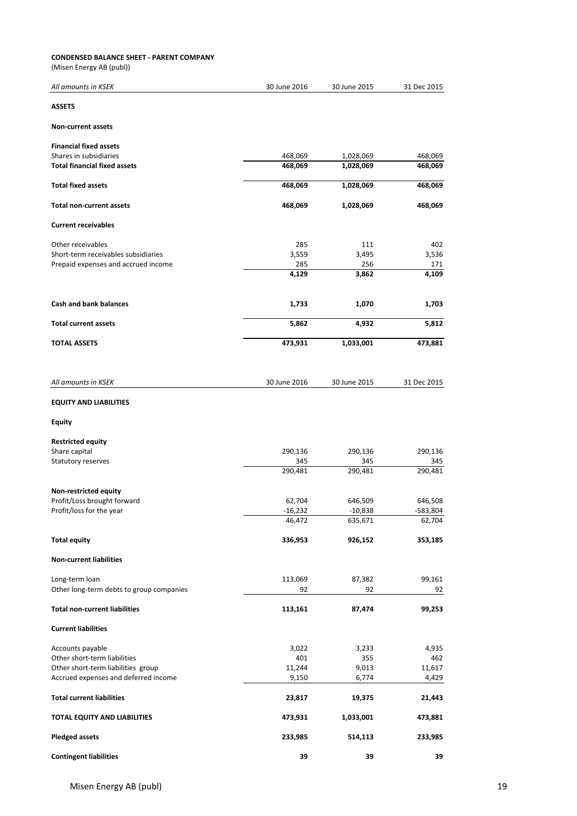#### **CONDENSED BALANCE SHEET - PARENT COMPANY**

(Misen Energy AB (publ))

| All amounts in KSEK                      | 30 June 2016   | 30 June 2015   | 31 Dec 2015    |
|------------------------------------------|----------------|----------------|----------------|
| <b>ASSETS</b>                            |                |                |                |
| <b>Non-current assets</b>                |                |                |                |
| <b>Financial fixed assets</b>            |                |                |                |
| Shares in subsidiaries                   | 468,069        | 1,028,069      | 468,069        |
| <b>Total financial fixed assets</b>      | 468,069        | 1,028,069      | 468,069        |
| <b>Total fixed assets</b>                | 468,069        | 1,028,069      | 468,069        |
| <b>Total non-current assets</b>          | 468,069        | 1,028,069      | 468,069        |
| <b>Current receivables</b>               |                |                |                |
| Other receivables                        | 285            | 111            | 402            |
| Short-term receivables subsidiaries      | 3,559          | 3,495          | 3,536          |
| Prepaid expenses and accrued income      | 285            | 256            | 171            |
|                                          | 4,129          | 3,862          | 4,109          |
| <b>Cash and bank balances</b>            | 1,733          | 1,070          | 1,703          |
| <b>Total current assets</b>              | 5,862          | 4,932          | 5,812          |
| <b>TOTAL ASSETS</b>                      | 473,931        | 1,033,001      | 473,881        |
|                                          |                |                |                |
| All amounts in KSEK                      | 30 June 2016   | 30 June 2015   | 31 Dec 2015    |
| <b>EQUITY AND LIABILITIES</b>            |                |                |                |
| <b>Equity</b>                            |                |                |                |
| <b>Restricted equity</b>                 |                |                |                |
| Share capital                            | 290,136        | 290,136        | 290,136        |
| Statutory reserves                       | 345<br>290,481 | 345<br>290,481 | 345<br>290,481 |
|                                          |                |                |                |
| Non-restricted equity                    |                |                |                |
| Profit/Loss brought forward              | 62,704         | 646,509        | 646,508        |
| Profit/loss for the year                 | -16,232        | $-10,838$      | 583,804        |
|                                          | 46,472         | 635,671        | 62,704         |
| <b>Total equity</b>                      | 336,953        | 926,152        | 353,185        |
| <b>Non-current liabilities</b>           |                |                |                |
| Long-term loan                           | 113,069        | 87,382         | 99,161         |
| Other long-term debts to group companies | 92             | 92             | 92             |
| <b>Total non-current liabilities</b>     | 113,161        | 87,474         | 99,253         |
| <b>Current liabilities</b>               |                |                |                |
| Accounts payable                         | 3,022          | 3,233          | 4,935          |
| Other short-term liabilities             | 401            | 355            | 462            |
| Other short-term liabilities group       | 11,244         | 9,013          | 11,617         |
| Accrued expenses and deferred income     | 9,150          | 6,774          | 4,429          |
| <b>Total current liabilities</b>         | 23,817         | 19,375         | 21,443         |
| TOTAL EQUITY AND LIABILITIES             | 473,931        | 1,033,001      | 473,881        |
| <b>Pledged assets</b>                    | 233,985        | 514,113        | 233,985        |
| <b>Contingent liabilities</b>            | 39             | 39             | 39             |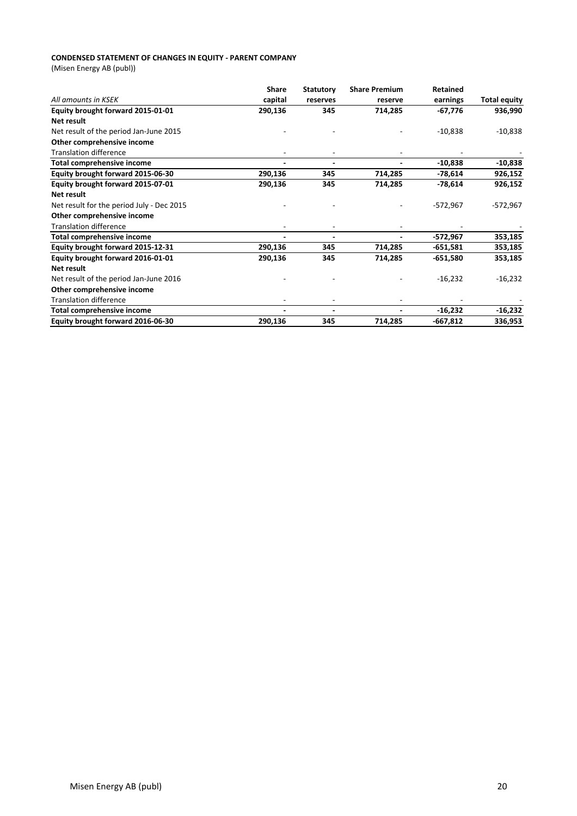#### **CONDENSED STATEMENT OF CHANGES IN EQUITY - PARENT COMPANY**

(Misen Energy AB (publ))

|                                           | <b>Share</b> | <b>Statutory</b> | <b>Share Premium</b>     | <b>Retained</b> |                     |
|-------------------------------------------|--------------|------------------|--------------------------|-----------------|---------------------|
| All amounts in KSEK                       | capital      | reserves         | reserve                  | earnings        | <b>Total equity</b> |
| Equity brought forward 2015-01-01         | 290,136      | 345              | 714,285                  | $-67,776$       | 936,990             |
| Net result                                |              |                  |                          |                 |                     |
| Net result of the period Jan-June 2015    |              |                  |                          | $-10,838$       | $-10,838$           |
| Other comprehensive income                |              |                  |                          |                 |                     |
| <b>Translation difference</b>             |              |                  |                          |                 |                     |
| <b>Total comprehensive income</b>         |              |                  |                          | $-10,838$       | $-10,838$           |
| Equity brought forward 2015-06-30         | 290,136      | 345              | 714,285                  | -78,614         | 926,152             |
| Equity brought forward 2015-07-01         | 290,136      | 345              | 714,285                  | $-78,614$       | 926,152             |
| Net result                                |              |                  |                          |                 |                     |
| Net result for the period July - Dec 2015 |              |                  |                          | $-572,967$      | $-572,967$          |
| Other comprehensive income                |              |                  |                          |                 |                     |
| <b>Translation difference</b>             |              |                  |                          |                 |                     |
| <b>Total comprehensive income</b>         |              |                  |                          | -572,967        | 353,185             |
| Equity brought forward 2015-12-31         | 290,136      | 345              | 714,285                  | -651,581        | 353,185             |
| Equity brought forward 2016-01-01         | 290,136      | 345              | 714,285                  | $-651,580$      | 353,185             |
| <b>Net result</b>                         |              |                  |                          |                 |                     |
| Net result of the period Jan-June 2016    |              |                  |                          | $-16,232$       | $-16,232$           |
| Other comprehensive income                |              |                  |                          |                 |                     |
| <b>Translation difference</b>             |              |                  |                          |                 |                     |
| Total comprehensive income                |              | $\blacksquare$   | $\overline{\phantom{0}}$ | $-16,232$       | $-16,232$           |
| Equity brought forward 2016-06-30         | 290,136      | 345              | 714,285                  | -667,812        | 336,953             |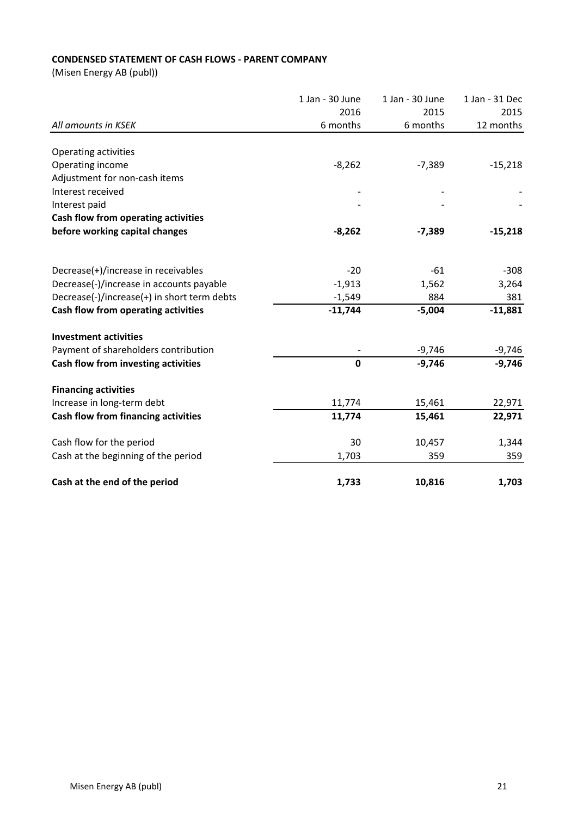# **CONDENSED STATEMENT OF CASH FLOWS - PARENT COMPANY**

(Misen Energy AB (publ))

|                                             | 1 Jan - 30 June | 1 Jan - 30 June | 1 Jan - 31 Dec |
|---------------------------------------------|-----------------|-----------------|----------------|
|                                             | 2016            | 2015            | 2015           |
| All amounts in KSEK                         | 6 months        | 6 months        | 12 months      |
|                                             |                 |                 |                |
| Operating activities                        |                 |                 |                |
| Operating income                            | $-8,262$        | $-7,389$        | $-15,218$      |
| Adjustment for non-cash items               |                 |                 |                |
| Interest received                           |                 |                 |                |
| Interest paid                               |                 |                 |                |
| Cash flow from operating activities         |                 |                 |                |
| before working capital changes              | $-8,262$        | $-7,389$        | $-15,218$      |
|                                             |                 |                 |                |
| Decrease(+)/increase in receivables         | $-20$           | $-61$           | $-308$         |
| Decrease(-)/increase in accounts payable    | $-1,913$        | 1,562           | 3,264          |
| Decrease(-)/increase(+) in short term debts | $-1,549$        | 884             | 381            |
| Cash flow from operating activities         | $-11,744$       | $-5,004$        | $-11,881$      |
| <b>Investment activities</b>                |                 |                 |                |
| Payment of shareholders contribution        |                 | $-9,746$        | $-9,746$       |
| Cash flow from investing activities         | $\mathbf 0$     | $-9,746$        | $-9,746$       |
|                                             |                 |                 |                |
| <b>Financing activities</b>                 |                 |                 |                |
| Increase in long-term debt                  | 11,774          | 15,461          | 22,971         |
| Cash flow from financing activities         | 11,774          | 15,461          | 22,971         |
| Cash flow for the period                    | 30              | 10,457          | 1,344          |
| Cash at the beginning of the period         | 1,703           | 359             | 359            |
| Cash at the end of the period               | 1,733           | 10,816          | 1,703          |